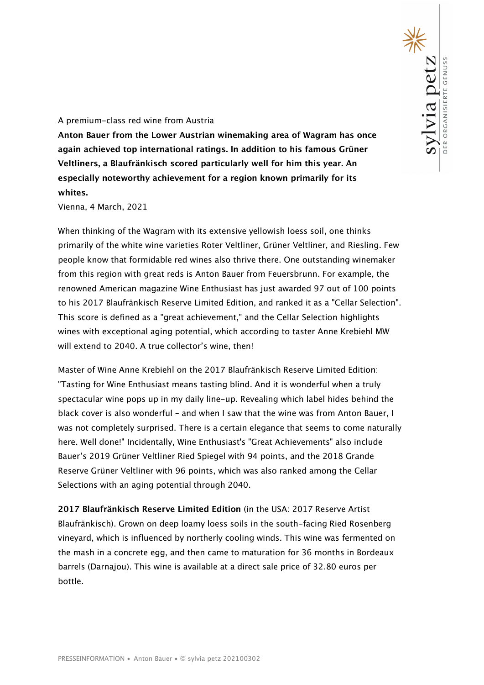## A premium-class red wine from Austria

**Anton Bauer from the Lower Austrian winemaking area of Wagram has once again achieved top international ratings. In addition to his famous Grüner Veltliners, a Blaufränkisch scored particularly well for him this year. An especially noteworthy achievement for a region known primarily for its whites.** 

Vienna, 4 March, 2021

When thinking of the Wagram with its extensive yellowish loess soil, one thinks primarily of the white wine varieties Roter Veltliner, Grüner Veltliner, and Riesling. Few people know that formidable red wines also thrive there. One outstanding winemaker from this region with great reds is Anton Bauer from Feuersbrunn. For example, the renowned American magazine Wine Enthusiast has just awarded 97 out of 100 points to his 2017 Blaufränkisch Reserve Limited Edition, and ranked it as a "Cellar Selection". This score is defined as a "great achievement," and the Cellar Selection highlights wines with exceptional aging potential, which according to taster Anne Krebiehl MW will extend to 2040. A true collector's wine, then!

Master of Wine Anne Krebiehl on the 2017 Blaufränkisch Reserve Limited Edition: "Tasting for Wine Enthusiast means tasting blind. And it is wonderful when a truly spectacular wine pops up in my daily line-up. Revealing which label hides behind the black cover is also wonderful – and when I saw that the wine was from Anton Bauer, I was not completely surprised. There is a certain elegance that seems to come naturally here. Well done!" Incidentally, Wine Enthusiast's "Great Achievements" also include Bauer's 2019 Grüner Veltliner Ried Spiegel with 94 points, and the 2018 Grande Reserve Grüner Veltliner with 96 points, which was also ranked among the Cellar Selections with an aging potential through 2040.

**2017 Blaufränkisch Reserve Limited Edition** (in the USA: 2017 Reserve Artist Blaufränkisch). Grown on deep loamy loess soils in the south-facing Ried Rosenberg vineyard, which is influenced by northerly cooling winds. This wine was fermented on the mash in a concrete egg, and then came to maturation for 36 months in Bordeaux barrels (Darnajou). This wine is available at a direct sale price of 32.80 euros per bottle.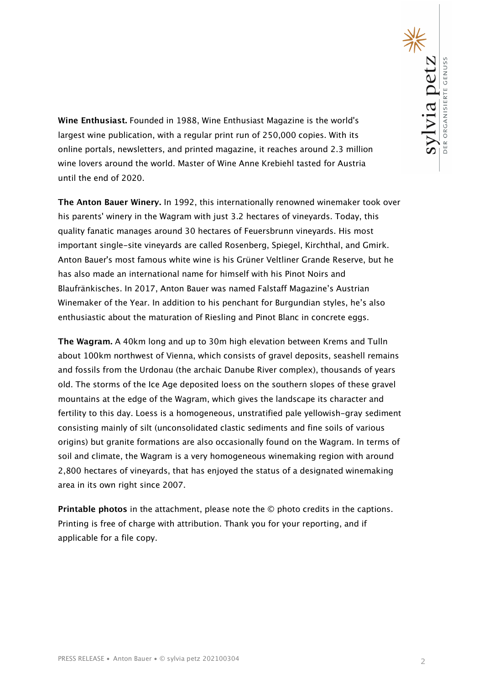**Wine Enthusiast.** Founded in 1988, Wine Enthusiast Magazine is the world's largest wine publication, with a regular print run of 250,000 copies. With its online portals, newsletters, and printed magazine, it reaches around 2.3 million wine lovers around the world. Master of Wine Anne Krebiehl tasted for Austria until the end of 2020.

**The Anton Bauer Winery.** In 1992, this internationally renowned winemaker took over his parents' winery in the Wagram with just 3.2 hectares of vineyards. Today, this quality fanatic manages around 30 hectares of Feuersbrunn vineyards. His most important single-site vineyards are called Rosenberg, Spiegel, Kirchthal, and Gmirk. Anton Bauer's most famous white wine is his Grüner Veltliner Grande Reserve, but he has also made an international name for himself with his Pinot Noirs and Blaufränkisches. In 2017, Anton Bauer was named Falstaff Magazine's Austrian Winemaker of the Year. In addition to his penchant for Burgundian styles, he's also enthusiastic about the maturation of Riesling and Pinot Blanc in concrete eggs.

**The Wagram.** A 40km long and up to 30m high elevation between Krems and Tulln about 100km northwest of Vienna, which consists of gravel deposits, seashell remains and fossils from the Urdonau (the archaic Danube River complex), thousands of years old. The storms of the Ice Age deposited loess on the southern slopes of these gravel mountains at the edge of the Wagram, which gives the landscape its character and fertility to this day. Loess is a homogeneous, unstratified pale yellowish-gray sediment consisting mainly of silt (unconsolidated clastic sediments and fine soils of various origins) but granite formations are also occasionally found on the Wagram. In terms of soil and climate, the Wagram is a very homogeneous winemaking region with around 2,800 hectares of vineyards, that has enjoyed the status of a designated winemaking area in its own right since 2007.

**Printable photos** in the attachment, please note the © photo credits in the captions. Printing is free of charge with attribution. Thank you for your reporting, and if applicable for a file copy.